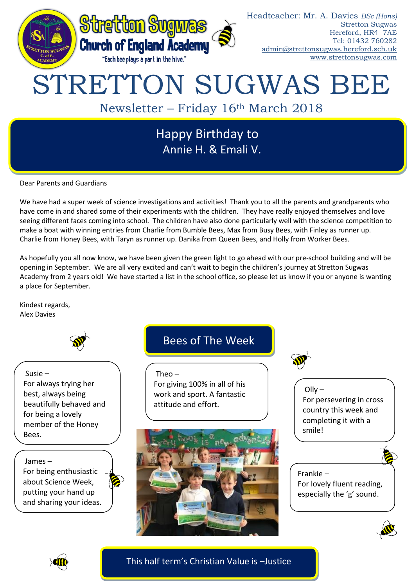

Annie H. & Emali V.

Dear Parents and Guardians

We have had a super week of science investigations and activities! Thank you to all the parents and grandparents who have come in and shared some of their experiments with the children. They have really enjoyed themselves and love seeing different faces coming into school. The children have also done particularly well with the science competition to make a boat with winning entries from Charlie from Bumble Bees, Max from Busy Bees, with Finley as runner up. Charlie from Honey Bees, with Taryn as runner up. Danika from Queen Bees, and Holly from Worker Bees.

As hopefully you all now know, we have been given the green light to go ahead with our pre-school building and will be opening in September. We are all very excited and can't wait to begin the children's journey at Stretton Sugwas Academy from 2 years old! We have started a list in the school office, so please let us know if you or anyone is wanting a place for September.

Kindest regards, Alex Davies



Susie – For always trying her best, always being beautifully behaved and for being a lovely member of the Honey Bees.

James – For being enthusiastic about Science Week, putting your hand up and sharing your ideas.

# Bees of The Week

 $Theo -$ For giving 100% in all of his work and sport. A fantastic attitude and effort.



 $O$ lly  $-$ For persevering in cross country this week and completing it with a smile!

Frankie – For lovely fluent reading, especially the 'g' sound.





This half term's Christian Value is –Justice